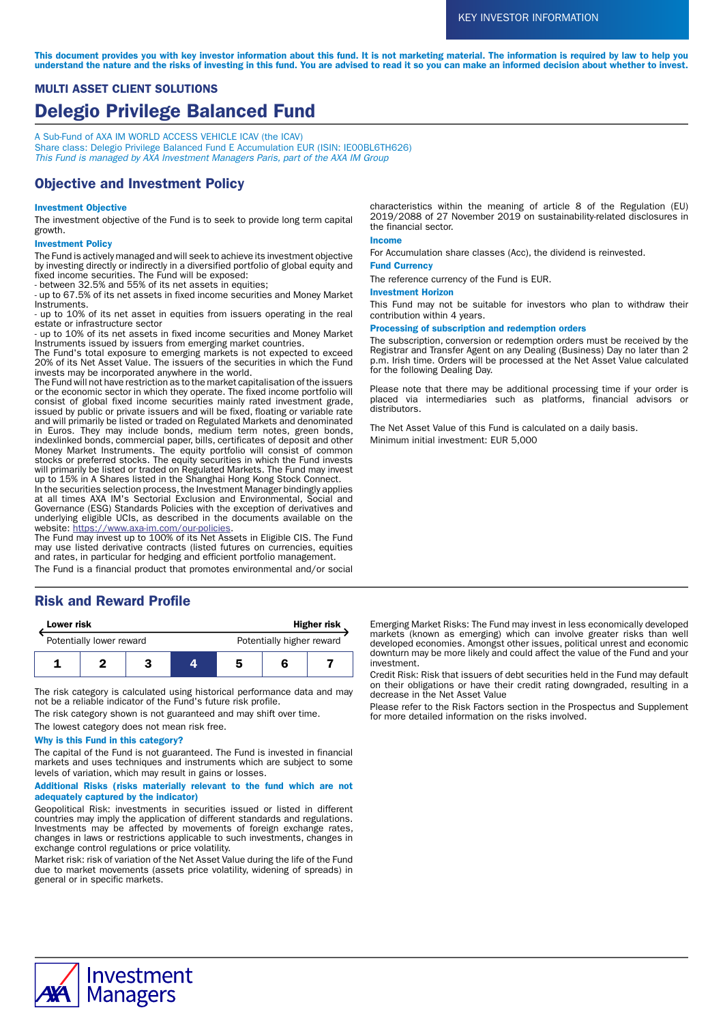This document provides you with key investor information about this fund. It is not marketing material. The information is required by law to help you understand the nature and the risks of investing in this fund. You are advised to read it so you can make an informed decision about whether to invest.

# MULTI ASSET CLIENT SOLUTIONS Delegio Privilege Balanced Fund

A Sub-Fund of AXA IM WORLD ACCESS VEHICLE ICAV (the ICAV) Share class: Delegio Privilege Balanced Fund E Accumulation EUR (ISIN: IE00BL6TH626) This Fund is managed by AXA Investment Managers Paris, part of the AXA IM Group

## Objective and Investment Policy

## Investment Objective

The investment objective of the Fund is to seek to provide long term capital growth.

## Investment Policy

The Fund is actively managed and will seek to achieve its investment objective by investing directly or indirectly in a diversified portfolio of global equity and fixed income securities. The Fund will be exposed:

- between 32.5% and 55% of its net assets in equities;

- up to 67.5% of its net assets in fixed income securities and Money Market Instruments.

- up to 10% of its net asset in equities from issuers operating in the real estate or infrastructure sector

- up to 10% of its net assets in fixed income securities and Money Market Instruments issued by issuers from emerging market countries.

The Fund's total exposure to emerging markets is not expected to exceed 20% of its Net Asset Value. The issuers of the securities in which the Fund invests may be incorporated anywhere in the world.

The Fund will not have restriction as to the market capitalisation of the issuers or the economic sector in which they operate. The fixed income portfolio will consist of global fixed income securities mainly rated investment grade, issued by public or private issuers and will be fixed, floating or variable rate and will primarily be listed or traded on Regulated Markets and denominated in Euros. They may include bonds, medium term notes, green bonds, indexlinked bonds, commercial paper, bills, certificates of deposit and other Money Market Instruments. The equity portfolio will consist of common stocks or preferred stocks. The equity securities in which the Fund invests will primarily be listed or traded on Regulated Markets. The Fund may invest up to 15% in A Shares listed in the Shanghai Hong Kong Stock Connect.

In the securities selection process, the Investment Manager bindingly applies at all times AXA IM's Sectorial Exclusion and Environmental, Social and Governance (ESG) Standards Policies with the exception of derivatives and underlying eligible UCIs, as described in the documents available on the website: [https://www.axa-im.com/our-policies.](https://www.axa-im.com/our-policies)

The Fund may invest up to 100% of its Net Assets in Eligible CIS. The Fund may use listed derivative contracts (listed futures on currencies, equities and rates, in particular for hedging and efficient portfolio management.

The Fund is a financial product that promotes environmental and/or social

## Risk and Reward Profile

| <b>Lower risk</b>        |  |  | <b>Higher risk</b> |                           |  |  |
|--------------------------|--|--|--------------------|---------------------------|--|--|
| Potentially lower reward |  |  |                    | Potentially higher reward |  |  |
|                          |  |  |                    |                           |  |  |

The risk category is calculated using historical performance data and may not be a reliable indicator of the Fund's future risk profile.

The risk category shown is not guaranteed and may shift over time.

The lowest category does not mean risk free.

## Why is this Fund in this category?

The capital of the Fund is not guaranteed. The Fund is invested in financial markets and uses techniques and instruments which are subject to some levels of variation, which may result in gains or losses.

#### Additional Risks (risks materially relevant to the fund which are not adequately captured by the indicator)

Geopolitical Risk: investments in securities issued or listed in different countries may imply the application of different standards and regulations. Investments may be affected by movements of foreign exchange rates, changes in laws or restrictions applicable to such investments, changes in exchange control regulations or price volatility.

Market risk: risk of variation of the Net Asset Value during the life of the Fund due to market movements (assets price volatility, widening of spreads) in general or in specific markets.

characteristics within the meaning of article 8 of the Regulation (EU) 2019/2088 of 27 November 2019 on sustainability-related disclosures in the financial sector.

## Income

For Accumulation share classes (Acc), the dividend is reinvested.

## Fund Currency

The reference currency of the Fund is EUR.

## Investment Horizon

This Fund may not be suitable for investors who plan to withdraw their contribution within 4 years.

#### Processing of subscription and redemption orders

The subscription, conversion or redemption orders must be received by the Registrar and Transfer Agent on any Dealing (Business) Day no later than 2 p.m. Irish time. Orders will be processed at the Net Asset Value calculated for the following Dealing Day.

Please note that there may be additional processing time if your order is placed via intermediaries such as platforms, financial advisors or distributors.

The Net Asset Value of this Fund is calculated on a daily basis. Minimum initial investment: EUR 5,000

Emerging Market Risks: The Fund may invest in less economically developed markets (known as emerging) which can involve greater risks than well developed economies. Amongst other issues, political unrest and economic downturn may be more likely and could affect the value of the Fund and your investment.

Credit Risk: Risk that issuers of debt securities held in the Fund may default on their obligations or have their credit rating downgraded, resulting in a decrease in the Net Asset Value

Please refer to the Risk Factors section in the Prospectus and Supplement for more detailed information on the risks involved.